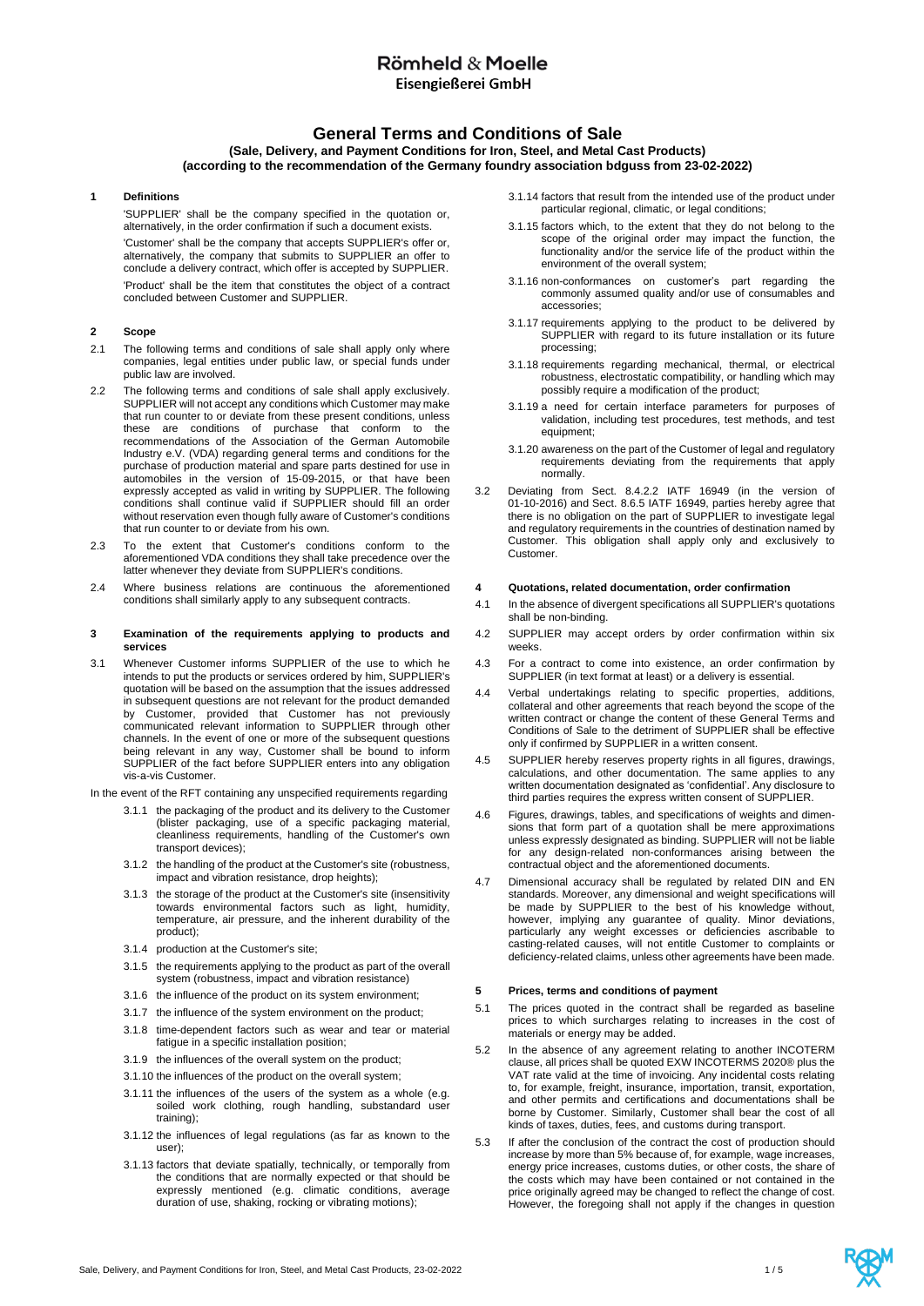## Römheld & Moelle Eisengießerei GmbH

## **General Terms and Conditions of Sale**

## **(Sale, Delivery, and Payment Conditions for Iron, Steel, and Metal Cast Products) (according to the recommendation of the Germany foundry association bdguss from 23-02-2022)**

## **1 Definitions**

'SUPPLIER' shall be the company specified in the quotation or, alternatively, in the order confirmation if such a document exists.

'Customer' shall be the company that accepts SUPPLIER's offer or, alternatively, the company that submits to SUPPLIER an offer to conclude a delivery contract, which offer is accepted by SUPPLIER.

'Product' shall be the item that constitutes the object of a contract concluded between Customer and SUPPLIER.

## **2 Scope**

- 2.1 The following terms and conditions of sale shall apply only where companies, legal entities under public law, or special funds under public law are involved.
- 2.2 The following terms and conditions of sale shall apply exclusively. SUPPLIER will not accept any conditions which Customer may make that run counter to or deviate from these present conditions, unless these are conditions of purchase that conform to the recommendations of the Association of the German Automobile Industry e.V. (VDA) regarding general terms and conditions for the purchase of production material and spare parts destined for use in automobiles in the version of 15-09-2015, or that have been expressly accepted as valid in writing by SUPPLIER. The following conditions shall continue valid if SUPPLIER should fill an order without reservation even though fully aware of Customer's conditions that run counter to or deviate from his own.
- 2.3 To the extent that Customer's conditions conform to the aforementioned VDA conditions they shall take precedence over the latter whenever they deviate from SUPPLIER's conditions.
- 2.4 Where business relations are continuous the aforementioned conditions shall similarly apply to any subsequent contracts.

## **3 Examination of the requirements applying to products and services**

- 3.1 Whenever Customer informs SUPPLIER of the use to which he intends to put the products or services ordered by him, SUPPLIER's quotation will be based on the assumption that the issues addressed in subsequent questions are not relevant for the product demanded by Customer, provided that Customer has not previously communicated relevant information to SUPPLIER through other channels. In the event of one or more of the subsequent questions being relevant in any way, Customer shall be bound to inform SUPPLIER of the fact before SUPPLIER enters into any obligation vis-a-vis Customer.
- In the event of the RFT containing any unspecified requirements regarding
	- 3.1.1 the packaging of the product and its delivery to the Customer (blister packaging, use of a specific packaging material, cleanliness requirements, handling of the Customer's own transport devices);
	- 3.1.2 the handling of the product at the Customer's site (robustness, impact and vibration resistance, drop heights);
	- 3.1.3 the storage of the product at the Customer's site (insensitivity towards environmental factors such as light, humidity, temperature, air pressure, and the inherent durability of the product);
	- 3.1.4 production at the Customer's site;
	- 3.1.5 the requirements applying to the product as part of the overall system (robustness, impact and vibration resistance)
	- 3.1.6 the influence of the product on its system environment;
	- 3.1.7 the influence of the system environment on the product;
	- 3.1.8 time-dependent factors such as wear and tear or material fatigue in a specific installation position;
	- 3.1.9 the influences of the overall system on the product;
	- 3.1.10 the influences of the product on the overall system;
	- 3.1.11 the influences of the users of the system as a whole (e.g. soiled work clothing, rough handling, substandard user training);
	- 3.1.12 the influences of legal regulations (as far as known to the user);
	- 3.1.13 factors that deviate spatially, technically, or temporally from the conditions that are normally expected or that should be expressly mentioned (e.g. climatic conditions, average duration of use, shaking, rocking or vibrating motions);
- 3.1.14 factors that result from the intended use of the product under particular regional, climatic, or legal conditions;
- 3.1.15 factors which, to the extent that they do not belong to the scope of the original order may impact the function, the functionality and/or the service life of the product within the environment of the overall system;
- 3.1.16 non-conformances on customer's part regarding the commonly assumed quality and/or use of consumables and accessories;
- 3.1.17 requirements applying to the product to be delivered by SUPPLIER with regard to its future installation or its future processing;
- 3.1.18 requirements regarding mechanical, thermal, or electrical robustness, electrostatic compatibility, or handling which may possibly require a modification of the product;
- 3.1.19 a need for certain interface parameters for purposes of validation, including test procedures, test methods, and test equipment;
- 3.1.20 awareness on the part of the Customer of legal and regulatory requirements deviating from the requirements that apply normally.
- 3.2 Deviating from Sect. 8.4.2.2 IATF 16949 (in the version of 01-10-2016) and Sect. 8.6.5 IATF 16949, parties hereby agree that there is no obligation on the part of SUPPLIER to investigate legal and regulatory requirements in the countries of destination named by Customer. This obligation shall apply only and exclusively to Customer.

## **4 Quotations, related documentation, order confirmation**

- 4.1 In the absence of divergent specifications all SUPPLIER's quotations shall be non-binding.
- 4.2 SUPPLIER may accept orders by order confirmation within six weeks.
- 4.3 For a contract to come into existence, an order confirmation by SUPPLIER (in text format at least) or a delivery is essential.
- 4.4 Verbal undertakings relating to specific properties, additions, collateral and other agreements that reach beyond the scope of the written contract or change the content of these General Terms and Conditions of Sale to the detriment of SUPPLIER shall be effective only if confirmed by SUPPLIER in a written consent.
- 4.5 SUPPLIER hereby reserves property rights in all figures, drawings, calculations, and other documentation. The same applies to any written documentation designated as 'confidential'. Any disclosure to third parties requires the express written consent of SUPPLIER.
- 4.6 Figures, drawings, tables, and specifications of weights and dimensions that form part of a quotation shall be mere approximations unless expressly designated as binding. SUPPLIER will not be liable for any design-related non-conformances arising between the contractual object and the aforementioned documents.
- 4.7 Dimensional accuracy shall be regulated by related DIN and EN standards. Moreover, any dimensional and weight specifications will be made by SUPPLIER to the best of his knowledge without, however, implying any guarantee of quality. Minor deviations, particularly any weight excesses or deficiencies ascribable to casting-related causes, will not entitle Customer to complaints or deficiency-related claims, unless other agreements have been made.

## **5 Prices, terms and conditions of payment**

- 5.1 The prices quoted in the contract shall be regarded as baseline prices to which surcharges relating to increases in the cost of materials or energy may be added.
- 5.2 In the absence of any agreement relating to another INCOTERM clause, all prices shall be quoted EXW INCOTERMS 2020® plus the VAT rate valid at the time of invoicing. Any incidental costs relating to, for example, freight, insurance, importation, transit, exportation, and other permits and certifications and documentations shall be borne by Customer. Similarly, Customer shall bear the cost of all kinds of taxes, duties, fees, and customs during transport.
- 5.3 If after the conclusion of the contract the cost of production should increase by more than 5% because of, for example, wage increases, energy price increases, customs duties, or other costs, the share of the costs which may have been contained or not contained in the price originally agreed may be changed to reflect the change of cost. However, the foregoing shall not apply if the changes in question

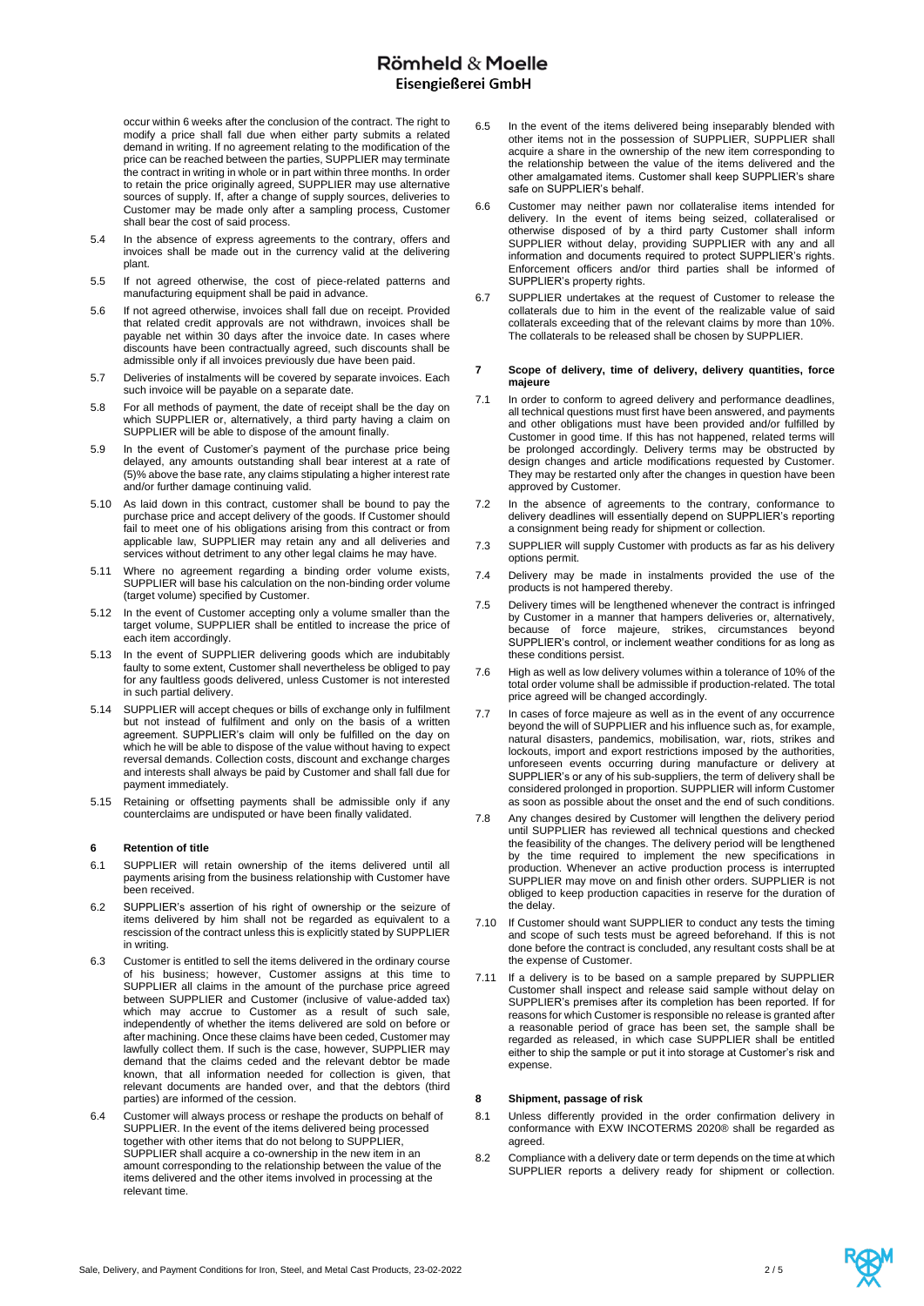occur within 6 weeks after the conclusion of the contract. The right to modify a price shall fall due when either party submits a related demand in writing. If no agreement relating to the modification of the price can be reached between the parties, SUPPLIER may terminate the contract in writing in whole or in part within three months. In order to retain the price originally agreed, SUPPLIER may use alternative sources of supply. If, after a change of supply sources, deliveries to Customer may be made only after a sampling process, Customer shall bear the cost of said process.

- 5.4 In the absence of express agreements to the contrary, offers and invoices shall be made out in the currency valid at the delivering plant.
- 5.5 If not agreed otherwise, the cost of piece-related patterns and manufacturing equipment shall be paid in advance.
- 5.6 If not agreed otherwise, invoices shall fall due on receipt. Provided that related credit approvals are not withdrawn, invoices shall be payable net within 30 days after the invoice date. In cases where discounts have been contractually agreed, such discounts shall be admissible only if all invoices previously due have been paid.
- 5.7 Deliveries of instalments will be covered by separate invoices. Each such invoice will be payable on a separate date.
- 5.8 For all methods of payment, the date of receipt shall be the day on which SUPPLIER or, alternatively, a third party having a claim on SUPPLIER will be able to dispose of the amount finally.
- 5.9 In the event of Customer's payment of the purchase price being delayed, any amounts outstanding shall bear interest at a rate of (5)% above the base rate, any claims stipulating a higher interest rate and/or further damage continuing valid.
- 5.10 As laid down in this contract, customer shall be bound to pay the purchase price and accept delivery of the goods. If Customer should fail to meet one of his obligations arising from this contract or from applicable law, SUPPLIER may retain any and all deliveries and services without detriment to any other legal claims he may have.
- 5.11 Where no agreement regarding a binding order volume exists, SUPPLIER will base his calculation on the non-binding order volume (target volume) specified by Customer.
- 5.12 In the event of Customer accepting only a volume smaller than the target volume, SUPPLIER shall be entitled to increase the price of each item accordingly.
- 5.13 In the event of SUPPLIER delivering goods which are indubitably faulty to some extent. Customer shall nevertheless be obliged to pay for any faultless goods delivered, unless Customer is not interested in such partial delivery.
- 5.14 SUPPLIER will accept cheques or bills of exchange only in fulfilment but not instead of fulfilment and only on the basis of a written agreement. SUPPLIER's claim will only be fulfilled on the day on which he will be able to dispose of the value without having to expect reversal demands. Collection costs, discount and exchange charges and interests shall always be paid by Customer and shall fall due for payment immediately.
- 5.15 Retaining or offsetting payments shall be admissible only if any counterclaims are undisputed or have been finally validated.

## **6 Retention of title**

- 6.1 SUPPLIER will retain ownership of the items delivered until all payments arising from the business relationship with Customer have been received.
- 6.2 SUPPLIER's assertion of his right of ownership or the seizure of items delivered by him shall not be regarded as equivalent to a rescission of the contract unless this is explicitly stated by SUPPLIER in writing.
- 6.3 Customer is entitled to sell the items delivered in the ordinary course of his business; however, Customer assigns at this time to SUPPLIER all claims in the amount of the purchase price agreed between SUPPLIER and Customer (inclusive of value-added tax) which may accrue to Customer as a result of such sale, independently of whether the items delivered are sold on before or after machining. Once these claims have been ceded, Customer may lawfully collect them. If such is the case, however, SUPPLIER may demand that the claims ceded and the relevant debtor be made known, that all information needed for collection is given, that relevant documents are handed over, and that the debtors (third parties) are informed of the cession.
- 6.4 Customer will always process or reshape the products on behalf of SUPPLIER. In the event of the items delivered being processed together with other items that do not belong to SUPPLIER, SUPPLIER shall acquire a co-ownership in the new item in an amount corresponding to the relationship between the value of the items delivered and the other items involved in processing at the relevant time.
- 6.5 In the event of the items delivered being inseparably blended with other items not in the possession of SUPPLIER, SUPPLIER shall acquire a share in the ownership of the new item corresponding to the relationship between the value of the items delivered and the other amalgamated items. Customer shall keep SUPPLIER's share safe on SUPPLIER's behalf.
- 6.6 Customer may neither pawn nor collateralise items intended for delivery. In the event of items being seized, collateralised or otherwise disposed of by a third party Customer shall inform SUPPLIER without delay, providing SUPPLIER with any and all information and documents required to protect SUPPLIER's rights. Enforcement officers and/or third parties shall be informed of SUPPLIER's property rights.
- 6.7 SUPPLIER undertakes at the request of Customer to release the collaterals due to him in the event of the realizable value of said collaterals exceeding that of the relevant claims by more than 10%. The collaterals to be released shall be chosen by SUPPLIER.

## **7 Scope of delivery, time of delivery, delivery quantities, force majeure**

- 7.1 In order to conform to agreed delivery and performance deadlines, all technical questions must first have been answered, and payments and other obligations must have been provided and/or fulfilled by Customer in good time. If this has not happened, related terms will be prolonged accordingly. Delivery terms may be obstructed by design changes and article modifications requested by Customer. They may be restarted only after the changes in question have been approved by Customer.
- 7.2 In the absence of agreements to the contrary, conformance to delivery deadlines will essentially depend on SUPPLIER's reporting a consignment being ready for shipment or collection.
- 7.3 SUPPLIER will supply Customer with products as far as his delivery options permit.
- 7.4 Delivery may be made in instalments provided the use of the products is not hampered thereby.
- 7.5 Delivery times will be lengthened whenever the contract is infringed by Customer in a manner that hampers deliveries or, alternatively, because of force majeure, strikes, circumstances beyond SUPPLIER's control, or inclement weather conditions for as long as these conditions persist.
- 7.6 High as well as low delivery volumes within a tolerance of 10% of the total order volume shall be admissible if production-related. The total price agreed will be changed accordingly.
- 7.7 In cases of force majeure as well as in the event of any occurrence beyond the will of SUPPLIER and his influence such as, for example, natural disasters, pandemics, mobilisation, war, riots, strikes and lockouts, import and export restrictions imposed by the authorities, unforeseen events occurring during manufacture or delivery at SUPPLIER's or any of his sub-suppliers, the term of delivery shall be considered prolonged in proportion. SUPPLIER will inform Customer as soon as possible about the onset and the end of such conditions.
- 7.8 Any changes desired by Customer will lengthen the delivery period until SUPPLIER has reviewed all technical questions and checked the feasibility of the changes. The delivery period will be lengthened by the time required to implement the new specifications in production. Whenever an active production process is interrupted SUPPLIER may move on and finish other orders. SUPPLIER is not obliged to keep production capacities in reserve for the duration of the delay.
- 7.10 If Customer should want SUPPLIER to conduct any tests the timing and scope of such tests must be agreed beforehand. If this is not done before the contract is concluded, any resultant costs shall be at the expense of Customer.
- 7.11 If a delivery is to be based on a sample prepared by SUPPLIER Customer shall inspect and release said sample without delay on SUPPLIER's premises after its completion has been reported. If for reasons for which Customer is responsible no release is granted after a reasonable period of grace has been set, the sample shall be regarded as released, in which case SUPPLIER shall be entitled either to ship the sample or put it into storage at Customer's risk and expense.

## **8 Shipment, passage of risk**

- 8.1 Unless differently provided in the order confirmation delivery in conformance with EXW INCOTERMS 2020® shall be regarded as agreed.
- 8.2 Compliance with a delivery date or term depends on the time at which SUPPLIER reports a delivery ready for shipment or collection.

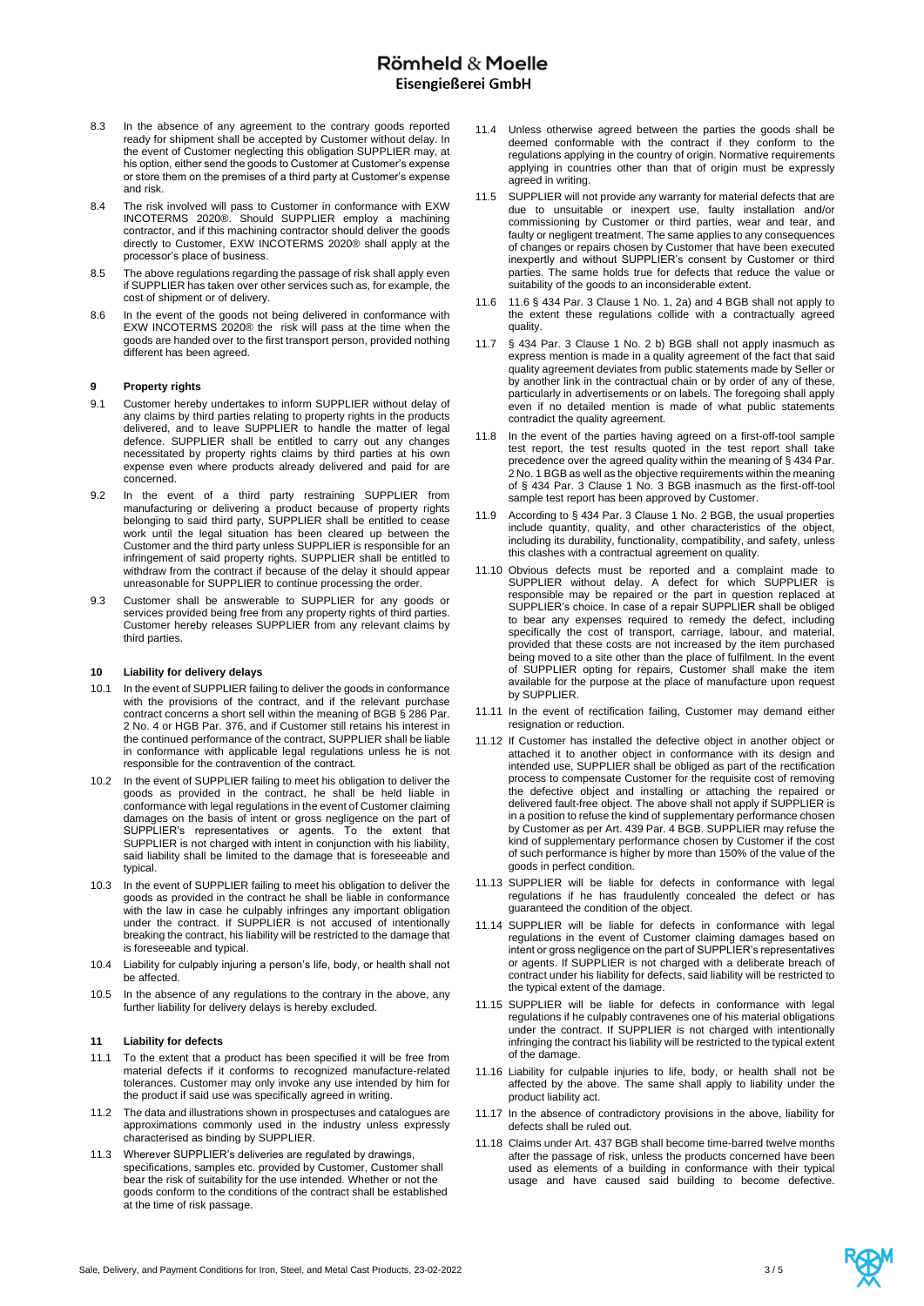# Römheld & Moelle Eisengießerei GmbH

- 8.3 In the absence of any agreement to the contrary goods reported ready for shipment shall be accepted by Customer without delay. In the event of Customer neglecting this obligation SUPPLIER may, at his option, either send the goods to Customer at Customer's expense or store them on the premises of a third party at Customer's expense and risk.
- 8.4 The risk involved will pass to Customer in conformance with EXW INCOTERMS 2020®. Should SUPPLIER employ a machining contractor, and if this machining contractor should deliver the goods directly to Customer, EXW INCOTERMS 2020® shall apply at the processor's place of business.
- 8.5 The above regulations regarding the passage of risk shall apply even if SUPPLIER has taken over other services such as, for example, the cost of shipment or of delivery.
- 8.6 In the event of the goods not being delivered in conformance with EXW INCOTERMS 2020® the risk will pass at the time when the goods are handed over to the first transport person, provided nothing different has been agreed.

## **9 Property rights**

- 9.1 Customer hereby undertakes to inform SUPPLIER without delay of any claims by third parties relating to property rights in the products delivered, and to leave SUPPLIER to handle the matter of legal defence. SUPPLIER shall be entitled to carry out any changes necessitated by property rights claims by third parties at his own expense even where products already delivered and paid for are concerned.
- 9.2 In the event of a third party restraining SUPPLIER from manufacturing or delivering a product because of property rights belonging to said third party, SUPPLIER shall be entitled to cease work until the legal situation has been cleared up between the Customer and the third party unless SUPPLIER is responsible for an infringement of said property rights. SUPPLIER shall be entitled to withdraw from the contract if because of the delay it should appear unreasonable for SUPPLIER to continue processing the order.
- 9.3 Customer shall be answerable to SUPPLIER for any goods or services provided being free from any property rights of third parties. Customer hereby releases SUPPLIER from any relevant claims by third parties.

#### **10 Liability for delivery delays**

- 10.1 In the event of SUPPLIER failing to deliver the goods in conformance with the provisions of the contract, and if the relevant purchase contract concerns a short sell within the meaning of BGB § 286 Par. 2 No. 4 or HGB Par. 376, and if Customer still retains his interest in the continued performance of the contract, SUPPLIER shall be liable in conformance with applicable legal regulations unless he is not responsible for the contravention of the contract.
- 10.2 In the event of SUPPLIER failing to meet his obligation to deliver the goods as provided in the contract, he shall be held liable in conformance with legal regulations in the event of Customer claiming damages on the basis of intent or gross negligence on the part of SUPPLIER's representatives or agents. To the extent that SUPPLIER is not charged with intent in conjunction with his liability, said liability shall be limited to the damage that is foreseeable and typical.
- 10.3 In the event of SUPPLIER failing to meet his obligation to deliver the goods as provided in the contract he shall be liable in conformance with the law in case he culpably infringes any important obligation under the contract. If SUPPLIER is not accused of intentionally breaking the contract, his liability will be restricted to the damage that is foreseeable and typical.
- 10.4 Liability for culpably injuring a person's life, body, or health shall not be affected.
- 10.5 In the absence of any regulations to the contrary in the above, any further liability for delivery delays is hereby excluded.

## **11 Liability for defects**

- 11.1 To the extent that a product has been specified it will be free from material defects if it conforms to recognized manufacture-related tolerances. Customer may only invoke any use intended by him for the product if said use was specifically agreed in writing.
- 11.2 The data and illustrations shown in prospectuses and catalogues are approximations commonly used in the industry unless expressly characterised as binding by SUPPLIER.
- 11.3 Wherever SUPPLIER's deliveries are regulated by drawings, specifications, samples etc. provided by Customer, Customer shall bear the risk of suitability for the use intended. Whether or not the goods conform to the conditions of the contract shall be established at the time of risk passage.
- 11.4 Unless otherwise agreed between the parties the goods shall be deemed conformable with the contract if they conform to the regulations applying in the country of origin. Normative requirements applying in countries other than that of origin must be expressly agreed in writing.
- 11.5 SUPPLIER will not provide any warranty for material defects that are due to unsuitable or inexpert use, faulty installation and/or commissioning by Customer or third parties, wear and tear, and faulty or negligent treatment. The same applies to any consequences of changes or repairs chosen by Customer that have been executed inexpertly and without SUPPLIER's consent by Customer or third parties. The same holds true for defects that reduce the value or suitability of the goods to an inconsiderable extent.
- 11.6 11.6 § 434 Par. 3 Clause 1 No. 1, 2a) and 4 BGB shall not apply to the extent these regulations collide with a contractually agreed quality.
- 11.7 § 434 Par. 3 Clause 1 No. 2 b) BGB shall not apply inasmuch as express mention is made in a quality agreement of the fact that said quality agreement deviates from public statements made by Seller or by another link in the contractual chain or by order of any of these, particularly in advertisements or on labels. The foregoing shall apply even if no detailed mention is made of what public statements contradict the quality agreement.
- 11.8 In the event of the parties having agreed on a first-off-tool sample test report, the test results quoted in the test report shall take precedence over the agreed quality within the meaning of § 434 Par. 2 No. 1 BGB as well as the objective requirements within the meaning of § 434 Par. 3 Clause 1 No. 3 BGB inasmuch as the first-off-tool sample test report has been approved by Customer.
- 11.9 According to § 434 Par. 3 Clause 1 No. 2 BGB, the usual properties include quantity, quality, and other characteristics of the object, including its durability, functionality, compatibility, and safety, unless this clashes with a contractual agreement on quality.
- 11.10 Obvious defects must be reported and a complaint made to SUPPLIER without delay. A defect for which SUPPLIER is responsible may be repaired or the part in question replaced at SUPPLIER's choice. In case of a repair SUPPLIER shall be obliged to bear any expenses required to remedy the defect, including specifically the cost of transport, carriage, labour, and material, provided that these costs are not increased by the item purchased being moved to a site other than the place of fulfilment. In the event of SUPPLIER opting for repairs, Customer shall make the item available for the purpose at the place of manufacture upon request by SUPPLIER.
- 11.11 In the event of rectification failing, Customer may demand either resignation or reduction.
- 11.12 If Customer has installed the defective object in another object or attached it to another object in conformance with its design and intended use, SUPPLIER shall be obliged as part of the rectification process to compensate Customer for the requisite cost of removing the defective object and installing or attaching the repaired or delivered fault-free object. The above shall not apply if SUPPLIER is in a position to refuse the kind of supplementary performance chosen by Customer as per Art. 439 Par. 4 BGB. SUPPLIER may refuse the kind of supplementary performance chosen by Customer if the cost of such performance is higher by more than 150% of the value of the goods in perfect condition.
- 11.13 SUPPLIER will be liable for defects in conformance with legal regulations if he has fraudulently concealed the defect or has guaranteed the condition of the object.
- 11.14 SUPPLIER will be liable for defects in conformance with legal regulations in the event of Customer claiming damages based on intent or gross negligence on the part of SUPPLIER's representatives or agents. If SUPPLIER is not charged with a deliberate breach of contract under his liability for defects, said liability will be restricted to the typical extent of the damage.
- 11.15 SUPPLIER will be liable for defects in conformance with legal regulations if he culpably contravenes one of his material obligations under the contract. If SUPPLIER is not charged with intentionally infringing the contract his liability will be restricted to the typical extent of the damage.
- 11.16 Liability for culpable injuries to life, body, or health shall not be affected by the above. The same shall apply to liability under the product liability act.
- 11.17 In the absence of contradictory provisions in the above, liability for defects shall be ruled out.
- 11.18 Claims under Art. 437 BGB shall become time-barred twelve months after the passage of risk, unless the products concerned have been used as elements of a building in conformance with their typical usage and have caused said building to become defective.

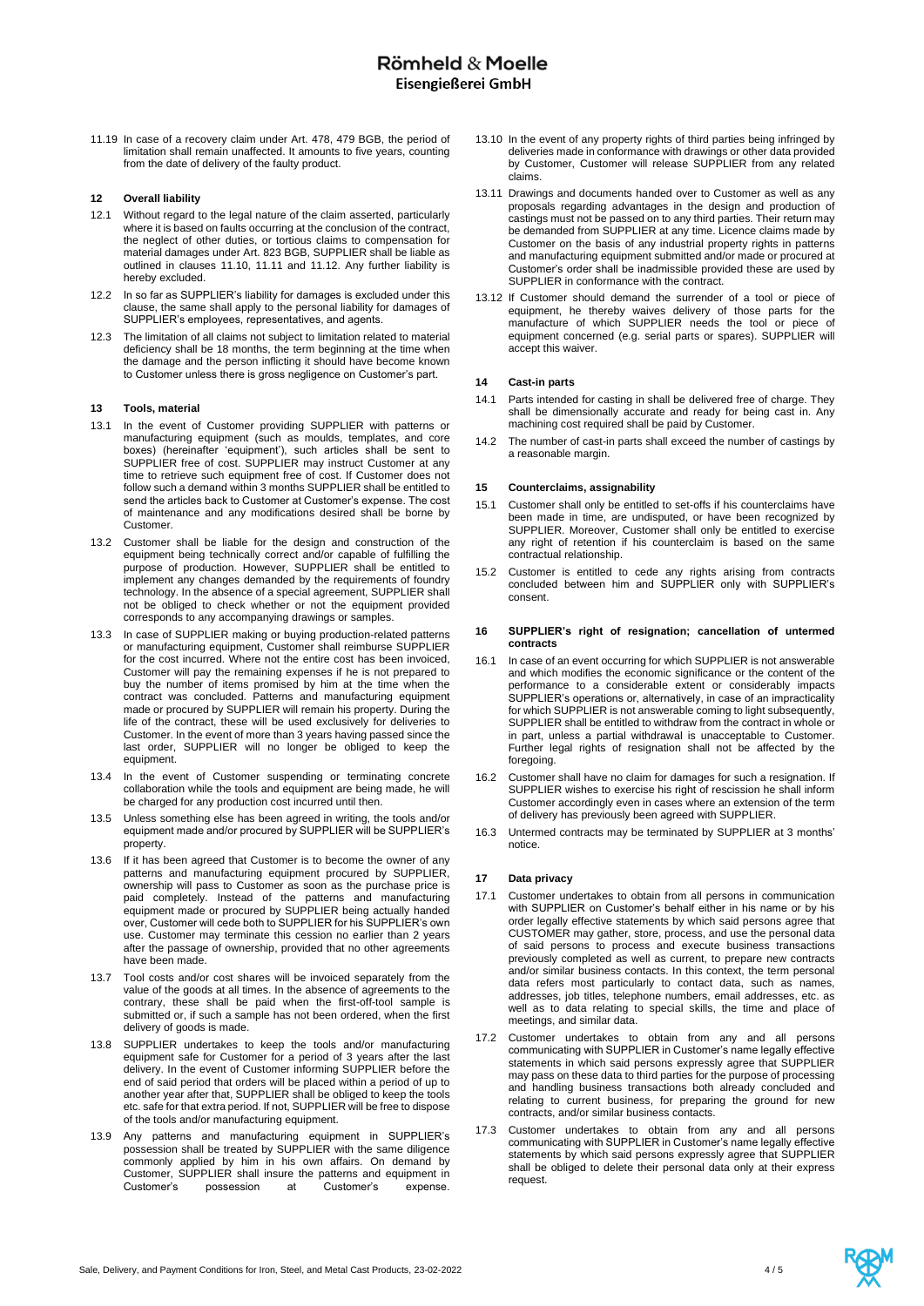11.19 In case of a recovery claim under Art. 478, 479 BGB, the period of limitation shall remain unaffected. It amounts to five years, counting from the date of delivery of the faulty product.

## **12 Overall liability**

- 12.1 Without regard to the legal nature of the claim asserted, particularly where it is based on faults occurring at the conclusion of the contract, the neglect of other duties, or tortious claims to compensation for material damages under Art. 823 BGB, SUPPLIER shall be liable as outlined in clauses 11.10, 11.11 and 11.12. Any further liability is hereby excluded.
- 12.2 In so far as SUPPLIER's liability for damages is excluded under this clause, the same shall apply to the personal liability for damages of SUPPLIER's employees, representatives, and agents.
- 12.3 The limitation of all claims not subject to limitation related to material deficiency shall be 18 months, the term beginning at the time when the damage and the person inflicting it should have become known to Customer unless there is gross negligence on Customer's part.

## **13 Tools, material**

- 13.1 In the event of Customer providing SUPPLIER with patterns or manufacturing equipment (such as moulds, templates, and core boxes) (hereinafter 'equipment'), such articles shall be sent to SUPPLIER free of cost. SUPPLIER may instruct Customer at any time to retrieve such equipment free of cost. If Customer does not follow such a demand within 3 months SUPPLIER shall be entitled to send the articles back to Customer at Customer's expense. The cost of maintenance and any modifications desired shall be borne by Customer.
- 13.2 Customer shall be liable for the design and construction of the equipment being technically correct and/or capable of fulfilling the purpose of production. However, SUPPLIER shall be entitled to implement any changes demanded by the requirements of foundry technology. In the absence of a special agreement, SUPPLIER shall not be obliged to check whether or not the equipment provided corresponds to any accompanying drawings or samples.
- 13.3 In case of SUPPLIER making or buying production-related patterns or manufacturing equipment, Customer shall reimburse SUPPLIER for the cost incurred. Where not the entire cost has been invoiced, Customer will pay the remaining expenses if he is not prepared to buy the number of items promised by him at the time when the contract was concluded. Patterns and manufacturing equipment made or procured by SUPPLIER will remain his property. During the life of the contract, these will be used exclusively for deliveries to Customer. In the event of more than 3 years having passed since the last order, SUPPLIER will no longer be obliged to keep the equipment.
- 13.4 In the event of Customer suspending or terminating concrete collaboration while the tools and equipment are being made, he will be charged for any production cost incurred until then.
- 13.5 Unless something else has been agreed in writing, the tools and/or equipment made and/or procured by SUPPLIER will be SUPPLIER's property.
- 13.6 If it has been agreed that Customer is to become the owner of any patterns and manufacturing equipment procured by SUPPLIER, ownership will pass to Customer as soon as the purchase price is paid completely. Instead of the patterns and manufacturing equipment made or procured by SUPPLIER being actually handed over, Customer will cede both to SUPPLIER for his SUPPLIER's own use. Customer may terminate this cession no earlier than 2 years after the passage of ownership, provided that no other agreements have been made.
- 13.7 Tool costs and/or cost shares will be invoiced separately from the value of the goods at all times. In the absence of agreements to the contrary, these shall be paid when the first-off-tool sample is submitted or, if such a sample has not been ordered, when the first delivery of goods is made.
- 13.8 SUPPLIER undertakes to keep the tools and/or manufacturing equipment safe for Customer for a period of 3 years after the last delivery. In the event of Customer informing SUPPLIER before the end of said period that orders will be placed within a period of up to another year after that, SUPPLIER shall be obliged to keep the tools etc. safe for that extra period. If not, SUPPLIER will be free to dispose of the tools and/or manufacturing equipment.
- 13.9 Any patterns and manufacturing equipment in SUPPLIER's possession shall be treated by SUPPLIER with the same diligence commonly applied by him in his own affairs. On demand by Customer, SUPPLIER shall insure the patterns and equipment in Customer's possession at Customer's expense.
- 13.10 In the event of any property rights of third parties being infringed by deliveries made in conformance with drawings or other data provided by Customer, Customer will release SUPPLIER from any related claims.
- 13.11 Drawings and documents handed over to Customer as well as any proposals regarding advantages in the design and production of castings must not be passed on to any third parties. Their return may be demanded from SUPPLIER at any time. Licence claims made by Customer on the basis of any industrial property rights in patterns and manufacturing equipment submitted and/or made or procured at Customer's order shall be inadmissible provided these are used by SUPPLIER in conformance with the contract.
- 13.12 If Customer should demand the surrender of a tool or piece of equipment, he thereby waives delivery of those parts for the manufacture of which SUPPLIER needs the tool or piece of equipment concerned (e.g. serial parts or spares). SUPPLIER will accept this waiver.

## **14 Cast-in parts**

- 14.1 Parts intended for casting in shall be delivered free of charge. They shall be dimensionally accurate and ready for being cast in. Any machining cost required shall be paid by Customer.
- 14.2 The number of cast-in parts shall exceed the number of castings by a reasonable margin.

## **15 Counterclaims, assignability**

- 15.1 Customer shall only be entitled to set-offs if his counterclaims have been made in time, are undisputed, or have been recognized by SUPPLIER. Moreover, Customer shall only be entitled to exercise any right of retention if his counterclaim is based on the same contractual relationship.
- 15.2 Customer is entitled to cede any rights arising from contracts concluded between him and SUPPLIER only with SUPPLIER's consent.

#### **16 SUPPLIER's right of resignation; cancellation of untermed contracts**

- 16.1 In case of an event occurring for which SUPPLIER is not answerable and which modifies the economic significance or the content of the performance to a considerable extent or considerably impacts SUPPLIER's operations or, alternatively, in case of an impracticality for which SUPPLIER is not answerable coming to light subsequently, SUPPLIER shall be entitled to withdraw from the contract in whole or in part, unless a partial withdrawal is unacceptable to Customer. Further legal rights of resignation shall not be affected by the foregoing.
- 16.2 Customer shall have no claim for damages for such a resignation. If SUPPLIER wishes to exercise his right of rescission he shall inform Customer accordingly even in cases where an extension of the term of delivery has previously been agreed with SUPPLIER.
- 16.3 Untermed contracts may be terminated by SUPPLIER at 3 months' notice.

## **17 Data privacy**

- 17.1 Customer undertakes to obtain from all persons in communication with SUPPLIER on Customer's behalf either in his name or by his order legally effective statements by which said persons agree that CUSTOMER may gather, store, process, and use the personal data of said persons to process and execute business transactions previously completed as well as current, to prepare new contracts and/or similar business contacts. In this context, the term personal data refers most particularly to contact data, such as names, addresses, job titles, telephone numbers, email addresses, etc. as well as to data relating to special skills, the time and place of meetings, and similar data.
- 17.2 Customer undertakes to obtain from any and all persons communicating with SUPPLIER in Customer's name legally effective statements in which said persons expressly agree that SUPPLIER may pass on these data to third parties for the purpose of processing and handling business transactions both already concluded and relating to current business, for preparing the ground for new contracts, and/or similar business contacts.
- 17.3 Customer undertakes to obtain from any and all persons communicating with SUPPLIER in Customer's name legally effective statements by which said persons expressly agree that SUPPLIER shall be obliged to delete their personal data only at their express request.